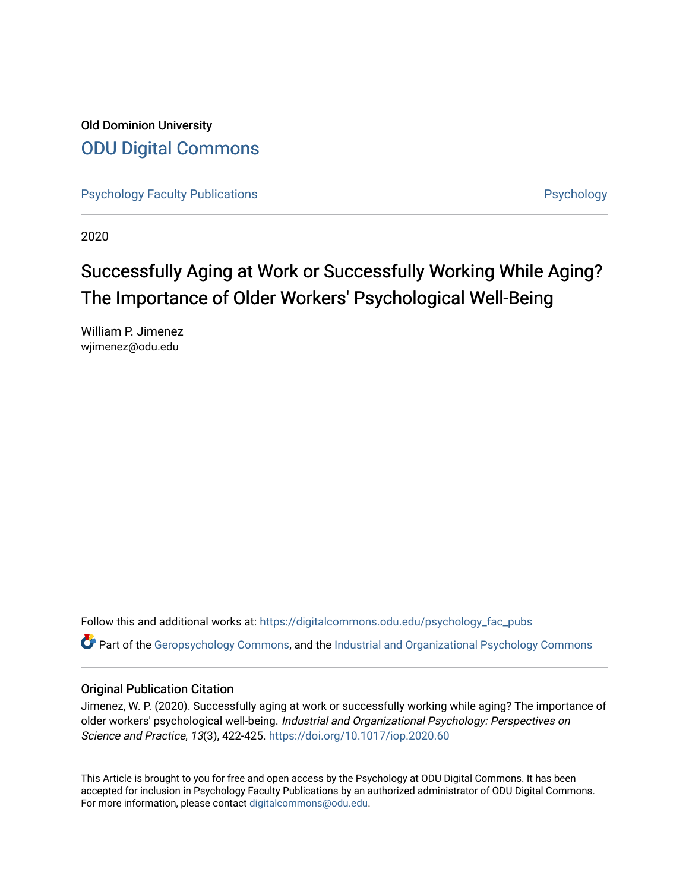Old Dominion University [ODU Digital Commons](https://digitalcommons.odu.edu/) 

[Psychology Faculty Publications](https://digitalcommons.odu.edu/psychology_fac_pubs) **Psychology** Psychology

2020

# Successfully Aging at Work or Successfully Working While Aging? The Importance of Older Workers' Psychological Well-Being

William P. Jimenez wjimenez@odu.edu

Follow this and additional works at: [https://digitalcommons.odu.edu/psychology\\_fac\\_pubs](https://digitalcommons.odu.edu/psychology_fac_pubs?utm_source=digitalcommons.odu.edu%2Fpsychology_fac_pubs%2F108&utm_medium=PDF&utm_campaign=PDFCoverPages)

Part of the [Geropsychology Commons](http://network.bepress.com/hgg/discipline/1420?utm_source=digitalcommons.odu.edu%2Fpsychology_fac_pubs%2F108&utm_medium=PDF&utm_campaign=PDFCoverPages), and the [Industrial and Organizational Psychology Commons](http://network.bepress.com/hgg/discipline/412?utm_source=digitalcommons.odu.edu%2Fpsychology_fac_pubs%2F108&utm_medium=PDF&utm_campaign=PDFCoverPages) 

# Original Publication Citation

Jimenez, W. P. (2020). Successfully aging at work or successfully working while aging? The importance of older workers' psychological well-being. Industrial and Organizational Psychology: Perspectives on Science and Practice, 13(3), 422-425. <https://doi.org/10.1017/iop.2020.60>

This Article is brought to you for free and open access by the Psychology at ODU Digital Commons. It has been accepted for inclusion in Psychology Faculty Publications by an authorized administrator of ODU Digital Commons. For more information, please contact [digitalcommons@odu.edu](mailto:digitalcommons@odu.edu).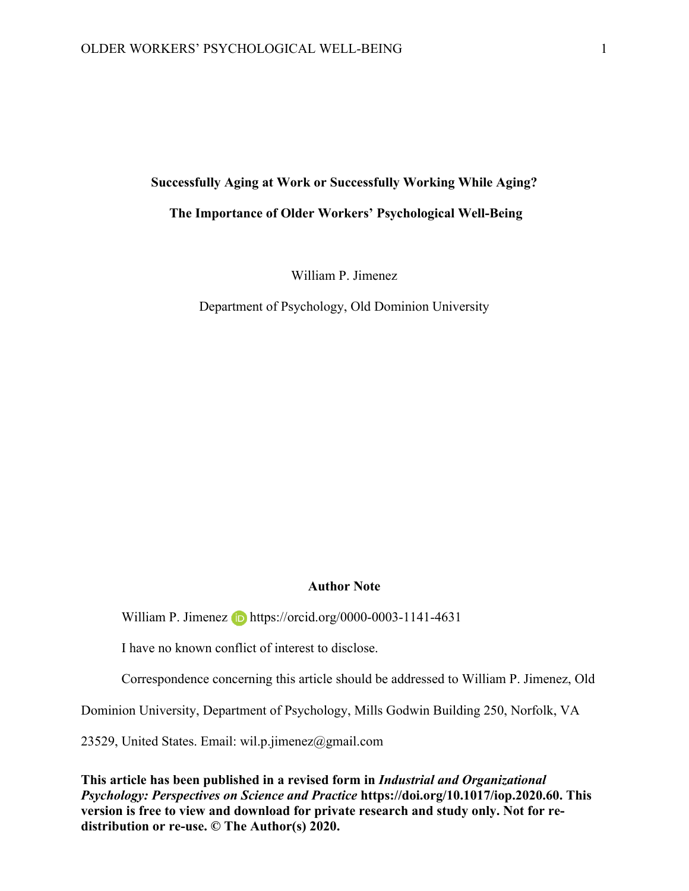#### **Successfully Aging at Work or Successfully Working While Aging?**

## **The Importance of Older Workers' Psychological Well-Being**

William P. Jimenez

Department of Psychology, Old Dominion University

#### **Author Note**

William P. Jimenez **b** https://orcid.org/0000-0003-1141-4631

I have no known conflict of interest to disclose.

Correspondence concerning this article should be addressed to William P. Jimenez, Old

Dominion University, Department of Psychology, Mills Godwin Building 250, Norfolk, VA

23529, United States. Email: wil.p.jimenez@gmail.com

**This article has been published in a revised form in** *Industrial and Organizational Psychology: Perspectives on Science and Practice* **https://doi.org/10.1017/iop.2020.60. This version is free to view and download for private research and study only. Not for redistribution or re-use. © The Author(s) 2020.**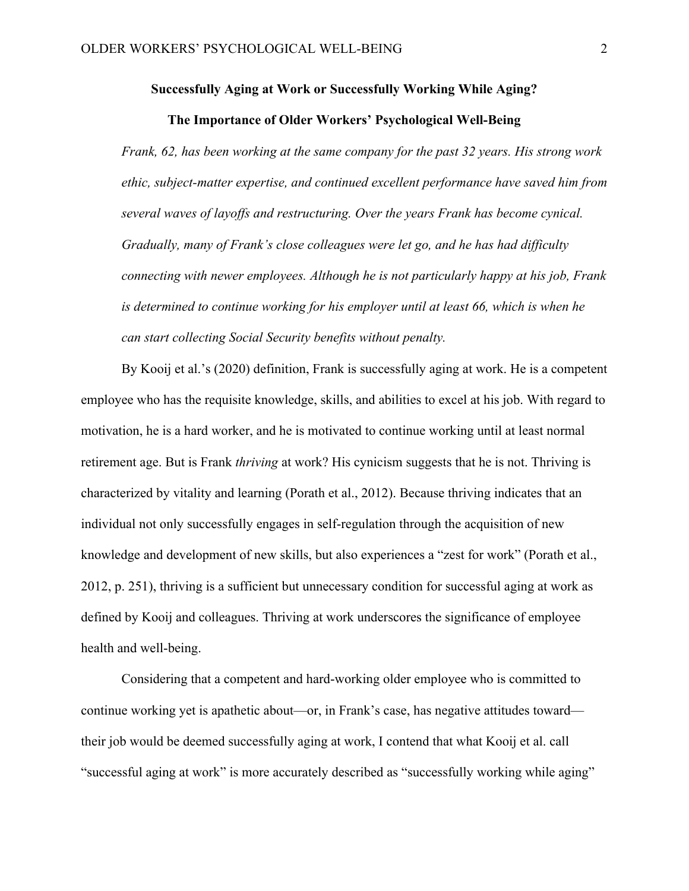#### **Successfully Aging at Work or Successfully Working While Aging?**

## **The Importance of Older Workers' Psychological Well-Being**

*Frank, 62, has been working at the same company for the past 32 years. His strong work ethic, subject-matter expertise, and continued excellent performance have saved him from several waves of layoffs and restructuring. Over the years Frank has become cynical. Gradually, many of Frank's close colleagues were let go, and he has had difficulty connecting with newer employees. Although he is not particularly happy at his job, Frank is determined to continue working for his employer until at least 66, which is when he can start collecting Social Security benefits without penalty.*

By Kooij et al.'s (2020) definition, Frank is successfully aging at work. He is a competent employee who has the requisite knowledge, skills, and abilities to excel at his job. With regard to motivation, he is a hard worker, and he is motivated to continue working until at least normal retirement age. But is Frank *thriving* at work? His cynicism suggests that he is not. Thriving is characterized by vitality and learning (Porath et al., 2012). Because thriving indicates that an individual not only successfully engages in self-regulation through the acquisition of new knowledge and development of new skills, but also experiences a "zest for work" (Porath et al., 2012, p. 251), thriving is a sufficient but unnecessary condition for successful aging at work as defined by Kooij and colleagues. Thriving at work underscores the significance of employee health and well-being.

Considering that a competent and hard-working older employee who is committed to continue working yet is apathetic about—or, in Frank's case, has negative attitudes toward their job would be deemed successfully aging at work, I contend that what Kooij et al. call "successful aging at work" is more accurately described as "successfully working while aging"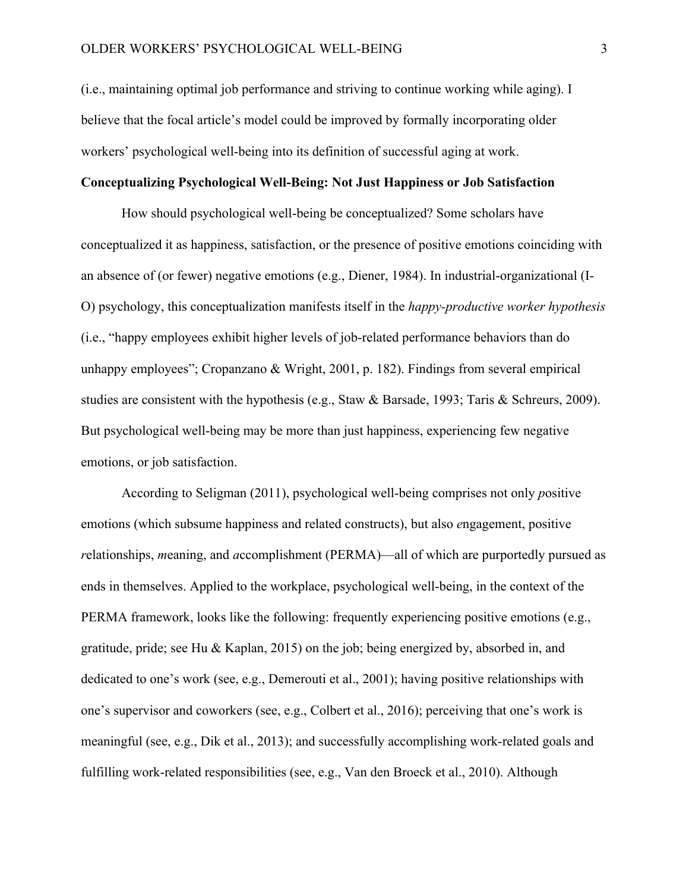(i.e., maintaining optimal job performance and striving to continue working while aging). I believe that the focal article's model could be improved by formally incorporating older workers' psychological well-being into its definition of successful aging at work.

# **Conceptualizing Psychological Well-Being: Not Just Happiness or Job Satisfaction**

How should psychological well-being be conceptualized? Some scholars have conceptualized it as happiness, satisfaction, or the presence of positive emotions coinciding with an absence of (or fewer) negative emotions (e.g., Diener, 1984). In industrial-organizational (I-O) psychology, this conceptualization manifests itself in the *happy-productive worker hypothesis* (i.e., "happy employees exhibit higher levels of job-related performance behaviors than do unhappy employees"; Cropanzano & Wright, 2001, p. 182). Findings from several empirical studies are consistent with the hypothesis (e.g., Staw & Barsade, 1993; Taris & Schreurs, 2009). But psychological well-being may be more than just happiness, experiencing few negative emotions, or job satisfaction.

According to Seligman (2011), psychological well-being comprises not only *p*ositive emotions (which subsume happiness and related constructs), but also *e*ngagement, positive *r*elationships, *m*eaning, and *a*ccomplishment (PERMA)—all of which are purportedly pursued as ends in themselves. Applied to the workplace, psychological well-being, in the context of the PERMA framework, looks like the following: frequently experiencing positive emotions (e.g., gratitude, pride; see Hu & Kaplan, 2015) on the job; being energized by, absorbed in, and dedicated to one's work (see, e.g., Demerouti et al., 2001); having positive relationships with one's supervisor and coworkers (see, e.g., Colbert et al., 2016); perceiving that one's work is meaningful (see, e.g., Dik et al., 2013); and successfully accomplishing work-related goals and fulfilling work-related responsibilities (see, e.g., Van den Broeck et al., 2010). Although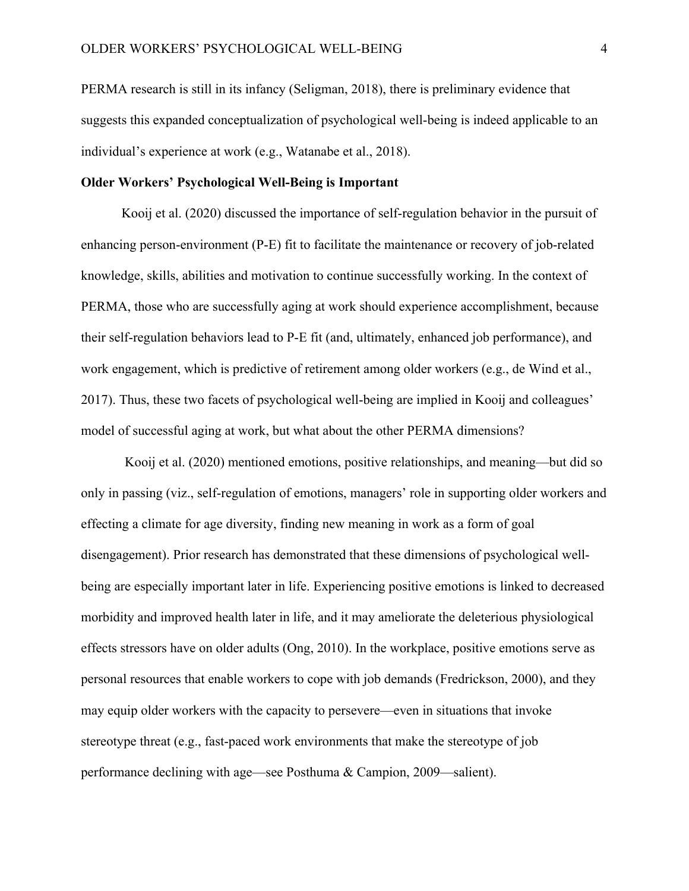PERMA research is still in its infancy (Seligman, 2018), there is preliminary evidence that suggests this expanded conceptualization of psychological well-being is indeed applicable to an individual's experience at work (e.g., Watanabe et al., 2018).

# **Older Workers' Psychological Well-Being is Important**

Kooij et al. (2020) discussed the importance of self-regulation behavior in the pursuit of enhancing person-environment (P-E) fit to facilitate the maintenance or recovery of job-related knowledge, skills, abilities and motivation to continue successfully working. In the context of PERMA, those who are successfully aging at work should experience accomplishment, because their self-regulation behaviors lead to P-E fit (and, ultimately, enhanced job performance), and work engagement, which is predictive of retirement among older workers (e.g., de Wind et al., 2017). Thus, these two facets of psychological well-being are implied in Kooij and colleagues' model of successful aging at work, but what about the other PERMA dimensions?

Kooij et al. (2020) mentioned emotions, positive relationships, and meaning—but did so only in passing (viz., self-regulation of emotions, managers' role in supporting older workers and effecting a climate for age diversity, finding new meaning in work as a form of goal disengagement). Prior research has demonstrated that these dimensions of psychological wellbeing are especially important later in life. Experiencing positive emotions is linked to decreased morbidity and improved health later in life, and it may ameliorate the deleterious physiological effects stressors have on older adults (Ong, 2010). In the workplace, positive emotions serve as personal resources that enable workers to cope with job demands (Fredrickson, 2000), and they may equip older workers with the capacity to persevere—even in situations that invoke stereotype threat (e.g., fast-paced work environments that make the stereotype of job performance declining with age—see Posthuma & Campion, 2009—salient).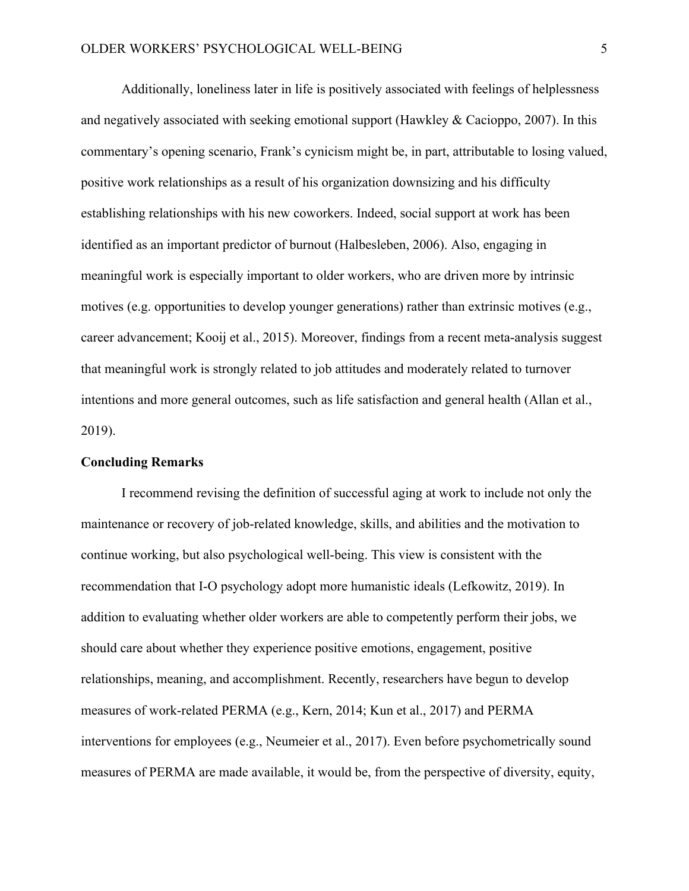Additionally, loneliness later in life is positively associated with feelings of helplessness and negatively associated with seeking emotional support (Hawkley & Cacioppo, 2007). In this commentary's opening scenario, Frank's cynicism might be, in part, attributable to losing valued, positive work relationships as a result of his organization downsizing and his difficulty establishing relationships with his new coworkers. Indeed, social support at work has been identified as an important predictor of burnout (Halbesleben, 2006). Also, engaging in meaningful work is especially important to older workers, who are driven more by intrinsic motives (e.g. opportunities to develop younger generations) rather than extrinsic motives (e.g., career advancement; Kooij et al., 2015). Moreover, findings from a recent meta-analysis suggest that meaningful work is strongly related to job attitudes and moderately related to turnover intentions and more general outcomes, such as life satisfaction and general health (Allan et al., 2019).

## **Concluding Remarks**

I recommend revising the definition of successful aging at work to include not only the maintenance or recovery of job-related knowledge, skills, and abilities and the motivation to continue working, but also psychological well-being. This view is consistent with the recommendation that I-O psychology adopt more humanistic ideals (Lefkowitz, 2019). In addition to evaluating whether older workers are able to competently perform their jobs, we should care about whether they experience positive emotions, engagement, positive relationships, meaning, and accomplishment. Recently, researchers have begun to develop measures of work-related PERMA (e.g., Kern, 2014; Kun et al., 2017) and PERMA interventions for employees (e.g., Neumeier et al., 2017). Even before psychometrically sound measures of PERMA are made available, it would be, from the perspective of diversity, equity,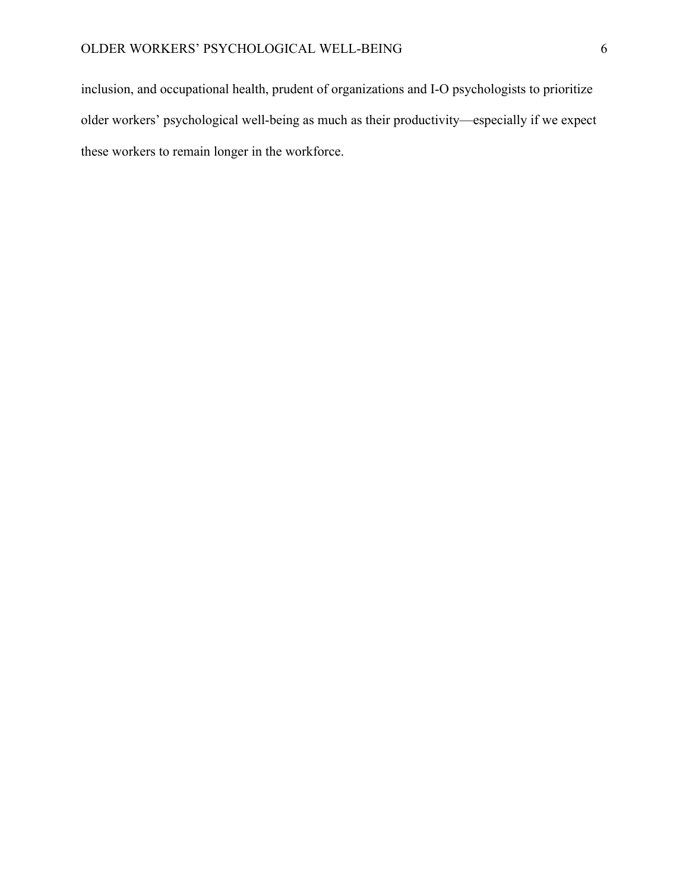inclusion, and occupational health, prudent of organizations and I-O psychologists to prioritize older workers' psychological well-being as much as their productivity—especially if we expect these workers to remain longer in the workforce.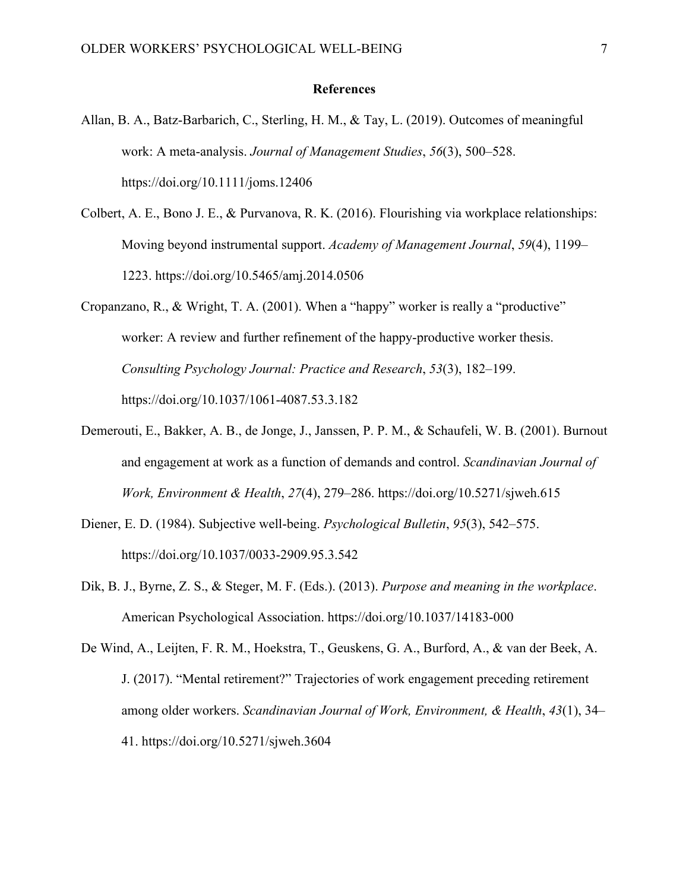#### **References**

- Allan, B. A., Batz-Barbarich, C., Sterling, H. M., & Tay, L. (2019). Outcomes of meaningful work: A meta-analysis. *Journal of Management Studies*, *56*(3), 500–528. https://doi.org/10.1111/joms.12406
- Colbert, A. E., Bono J. E., & Purvanova, R. K. (2016). Flourishing via workplace relationships: Moving beyond instrumental support. *Academy of Management Journal*, *59*(4), 1199– 1223. https://doi.org/10.5465/amj.2014.0506
- Cropanzano, R., & Wright, T. A. (2001). When a "happy" worker is really a "productive" worker: A review and further refinement of the happy-productive worker thesis. *Consulting Psychology Journal: Practice and Research*, *53*(3), 182–199. https://doi.org/10.1037/1061-4087.53.3.182
- Demerouti, E., Bakker, A. B., de Jonge, J., Janssen, P. P. M., & Schaufeli, W. B. (2001). Burnout and engagement at work as a function of demands and control. *Scandinavian Journal of Work, Environment & Health*, *27*(4), 279–286. https://doi.org/10.5271/sjweh.615
- Diener, E. D. (1984). Subjective well-being. *Psychological Bulletin*, *95*(3), 542–575. https://doi.org/10.1037/0033-2909.95.3.542
- Dik, B. J., Byrne, Z. S., & Steger, M. F. (Eds.). (2013). *Purpose and meaning in the workplace*. American Psychological Association. https://doi.org/10.1037/14183-000
- De Wind, A., Leijten, F. R. M., Hoekstra, T., Geuskens, G. A., Burford, A., & van der Beek, A. J. (2017). "Mental retirement?" Trajectories of work engagement preceding retirement among older workers. *Scandinavian Journal of Work, Environment, & Health*, *43*(1), 34– 41. https://doi.org/10.5271/sjweh.3604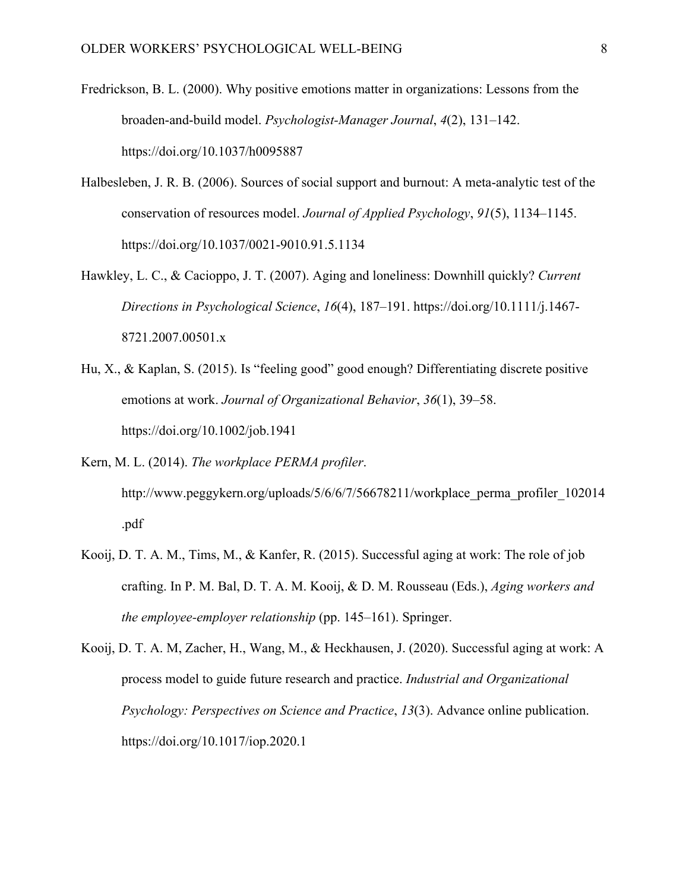- Fredrickson, B. L. (2000). Why positive emotions matter in organizations: Lessons from the broaden-and-build model. *Psychologist-Manager Journal*, *4*(2), 131–142. https://doi.org/10.1037/h0095887
- Halbesleben, J. R. B. (2006). Sources of social support and burnout: A meta-analytic test of the conservation of resources model. *Journal of Applied Psychology*, *91*(5), 1134–1145. https://doi.org/10.1037/0021-9010.91.5.1134
- Hawkley, L. C., & Cacioppo, J. T. (2007). Aging and loneliness: Downhill quickly? *Current Directions in Psychological Science*, *16*(4), 187–191. https://doi.org/10.1111/j.1467- 8721.2007.00501.x
- Hu, X., & Kaplan, S. (2015). Is "feeling good" good enough? Differentiating discrete positive emotions at work. *Journal of Organizational Behavior*, *36*(1), 39–58. https://doi.org/10.1002/job.1941
- Kern, M. L. (2014). *The workplace PERMA profiler*. http://www.peggykern.org/uploads/5/6/6/7/56678211/workplace\_perma\_profiler\_102014 .pdf
- Kooij, D. T. A. M., Tims, M., & Kanfer, R. (2015). Successful aging at work: The role of job crafting. In P. M. Bal, D. T. A. M. Kooij, & D. M. Rousseau (Eds.), *Aging workers and the employee-employer relationship* (pp. 145–161). Springer.
- Kooij, D. T. A. M, Zacher, H., Wang, M., & Heckhausen, J. (2020). Successful aging at work: A process model to guide future research and practice. *Industrial and Organizational Psychology: Perspectives on Science and Practice*, *13*(3). Advance online publication. https://doi.org/10.1017/iop.2020.1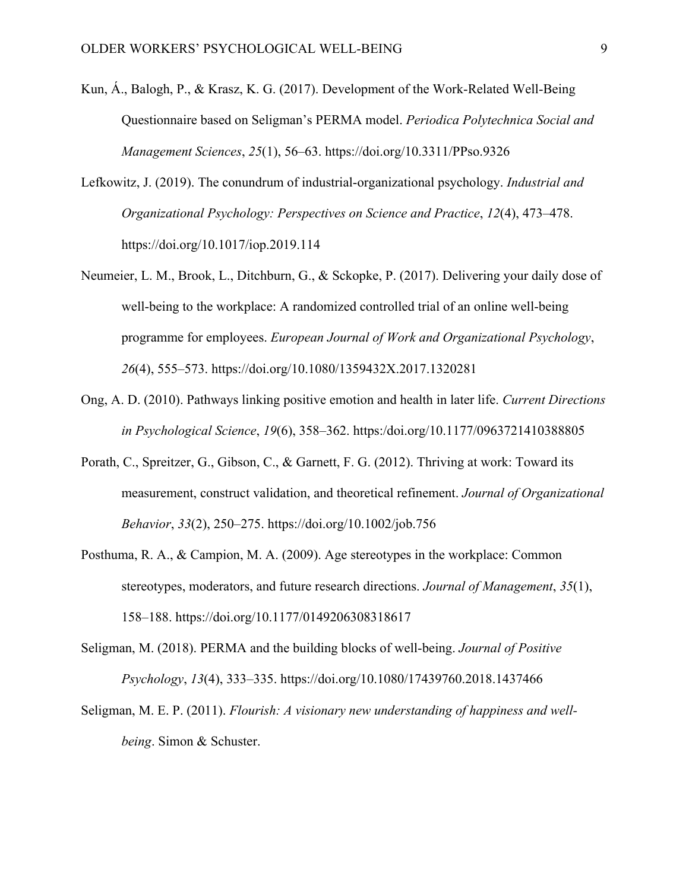- Kun, Á., Balogh, P., & Krasz, K. G. (2017). Development of the Work-Related Well-Being Questionnaire based on Seligman's PERMA model. *Periodica Polytechnica Social and Management Sciences*, *25*(1), 56–63. https://doi.org/10.3311/PPso.9326
- Lefkowitz, J. (2019). The conundrum of industrial-organizational psychology. *Industrial and Organizational Psychology: Perspectives on Science and Practice*, *12*(4), 473–478. https://doi.org/10.1017/iop.2019.114
- Neumeier, L. M., Brook, L., Ditchburn, G., & Sckopke, P. (2017). Delivering your daily dose of well-being to the workplace: A randomized controlled trial of an online well-being programme for employees. *European Journal of Work and Organizational Psychology*, *26*(4), 555–573. https://doi.org/10.1080/1359432X.2017.1320281
- Ong, A. D. (2010). Pathways linking positive emotion and health in later life. *Current Directions in Psychological Science*, *19*(6), 358–362. https:/doi.org/10.1177/0963721410388805
- Porath, C., Spreitzer, G., Gibson, C., & Garnett, F. G. (2012). Thriving at work: Toward its measurement, construct validation, and theoretical refinement. *Journal of Organizational Behavior*, *33*(2), 250–275. https://doi.org/10.1002/job.756
- Posthuma, R. A., & Campion, M. A. (2009). Age stereotypes in the workplace: Common stereotypes, moderators, and future research directions. *Journal of Management*, *35*(1), 158–188. https://doi.org/10.1177/0149206308318617
- Seligman, M. (2018). PERMA and the building blocks of well-being. *Journal of Positive Psychology*, *13*(4), 333–335. https://doi.org/10.1080/17439760.2018.1437466
- Seligman, M. E. P. (2011). *Flourish: A visionary new understanding of happiness and wellbeing*. Simon & Schuster.